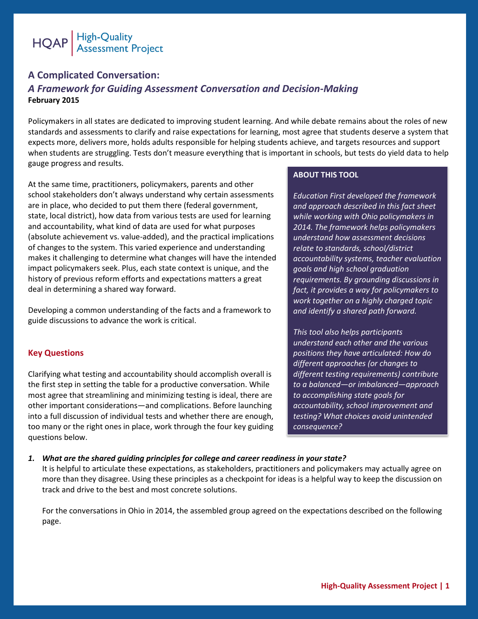

# **A Complicated Conversation:**  *A Framework for Guiding Assessment Conversation and Decision-Making* **February 2015**

Policymakers in all states are dedicated to improving student learning. And while debate remains about the roles of new standards and assessments to clarify and raise expectations for learning, most agree that students deserve a system that expects more, delivers more, holds adults responsible for helping students achieve, and targets resources and support when students are struggling. Tests don't measure everything that is important in schools, but tests do yield data to help gauge progress and results.

At the same time, practitioners, policymakers, parents and other school stakeholders don't always understand why certain assessments are in place, who decided to put them there (federal government, state, local district), how data from various tests are used for learning and accountability, what kind of data are used for what purposes (absolute achievement vs. value-added), and the practical implications of changes to the system. This varied experience and understanding makes it challenging to determine what changes will have the intended impact policymakers seek. Plus, each state context is unique, and the history of previous reform efforts and expectations matters a great deal in determining a shared way forward.

Developing a common understanding of the facts and a framework to guide discussions to advance the work is critical.

# **Key Questions**

Clarifying what testing and accountability should accomplish overall is the first step in setting the table for a productive conversation. While most agree that streamlining and minimizing testing is ideal, there are other important considerations—and complications. Before launching into a full discussion of individual tests and whether there are enough, too many or the right ones in place, work through the four key guiding questions below.

## **ABOUT THIS TOOL**

*Education First developed the framework and approach described in this fact sheet while working with Ohio policymakers in 2014. The framework helps policymakers understand how assessment decisions relate to standards, school/district accountability systems, teacher evaluation goals and high school graduation requirements. By grounding discussions in fact, it provides a way for policymakers to work together on a highly charged topic and identify a shared path forward.* 

*This tool also helps participants understand each other and the various positions they have articulated: How do different approaches (or changes to different testing requirements) contribute to a balanced—or imbalanced—approach to accomplishing state goals for accountability, school improvement and testing? What choices avoid unintended consequence?*

### *1. What are the shared guiding principles for college and career readiness in your state?*

It is helpful to articulate these expectations, as stakeholders, practitioners and policymakers may actually agree on more than they disagree. Using these principles as a checkpoint for ideas is a helpful way to keep the discussion on track and drive to the best and most concrete solutions.

For the conversations in Ohio in 2014, the assembled group agreed on the expectations described on the following page.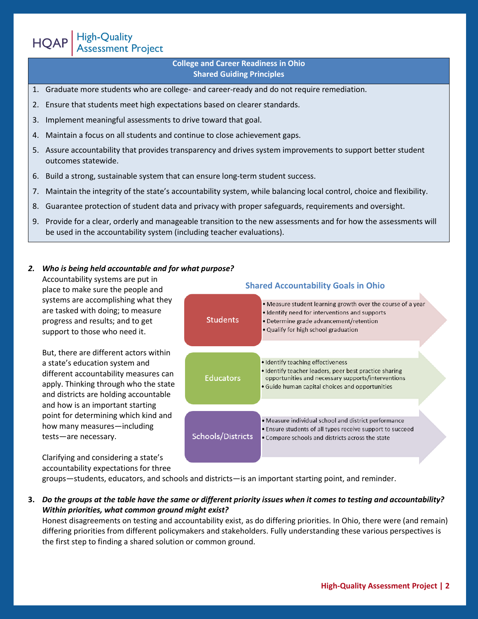**College and Career Readiness in Ohio Shared Guiding Principles**

- 1. Graduate more students who are college- and career-ready and do not require remediation.
- 2. Ensure that students meet high expectations based on clearer standards.
- 3. Implement meaningful assessments to drive toward that goal.

High-Quality<br>Assessment Project

**HQAP** 

- 4. Maintain a focus on all students and continue to close achievement gaps.
- 5. Assure accountability that provides transparency and drives system improvements to support better student outcomes statewide.
- 6. Build a strong, sustainable system that can ensure long-term student success.
- 7. Maintain the integrity of the state's accountability system, while balancing local control, choice and flexibility.
- 8. Guarantee protection of student data and privacy with proper safeguards, requirements and oversight.
- 9. Provide for a clear, orderly and manageable transition to the new assessments and for how the assessments will be used in the accountability system (including teacher evaluations).

#### *2. Who is being held accountable and for what purpose?*

Accountability systems are put in place to make sure the people and systems are accomplishing what they are tasked with doing; to measure progress and results; and to get support to those who need it.

But, there are different actors within a state's education system and different accountability measures can apply. Thinking through who the state and districts are holding accountable and how is an important starting point for determining which kind and how many measures—including tests—are necessary.

Clarifying and considering a state's accountability expectations for three

| <b>Shared Accountability Goals in Ohio</b> |                                                                                                                                                                                                      |  |  |
|--------------------------------------------|------------------------------------------------------------------------------------------------------------------------------------------------------------------------------------------------------|--|--|
| <b>Students</b>                            | . Measure student learning growth over the course of a year<br>• Identify need for interventions and supports<br>• Determine grade advancement/retention<br>• Qualify for high school graduation     |  |  |
|                                            |                                                                                                                                                                                                      |  |  |
| <b>Educators</b>                           | • Identify teaching effectiveness<br>· Identify teacher leaders, peer best practice sharing<br>opportunities and necessary supports/interventions<br>• Guide human capital choices and opportunities |  |  |
|                                            |                                                                                                                                                                                                      |  |  |
| <b>Schools/Districts</b>                   | • Measure individual school and district performance<br>• Ensure students of all types receive support to succeed<br>• Compare schools and districts across the state                                |  |  |

groups—students, educators, and schools and districts—is an important starting point, and reminder.

# **3.** *Do the groups at the table have the same or different priority issues when it comes to testing and accountability? Within priorities, what common ground might exist?*

Honest disagreements on testing and accountability exist, as do differing priorities. In Ohio, there were (and remain) differing priorities from different policymakers and stakeholders. Fully understanding these various perspectives is the first step to finding a shared solution or common ground.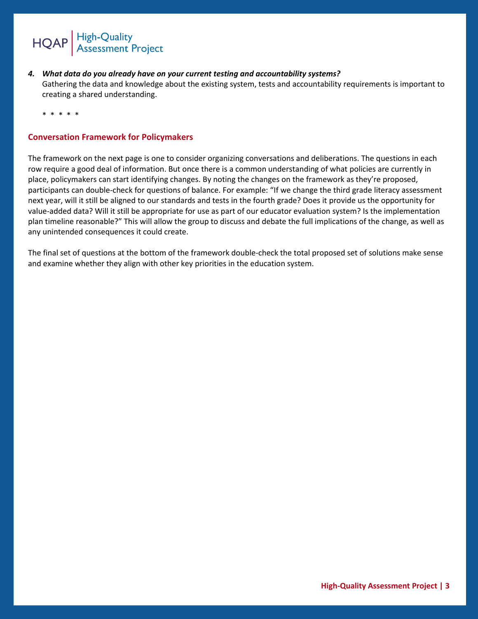

*4. What data do you already have on your current testing and accountability systems?* Gathering the data and knowledge about the existing system, tests and accountability requirements is important to creating a shared understanding.

\* \* \* \* \*

# **Conversation Framework for Policymakers**

The framework on the next page is one to consider organizing conversations and deliberations. The questions in each row require a good deal of information. But once there is a common understanding of what policies are currently in place, policymakers can start identifying changes. By noting the changes on the framework as they're proposed, participants can double-check for questions of balance. For example: "If we change the third grade literacy assessment next year, will it still be aligned to our standards and tests in the fourth grade? Does it provide us the opportunity for value-added data? Will it still be appropriate for use as part of our educator evaluation system? Is the implementation plan timeline reasonable?" This will allow the group to discuss and debate the full implications of the change, as well as any unintended consequences it could create.

The final set of questions at the bottom of the framework double-check the total proposed set of solutions make sense and examine whether they align with other key priorities in the education system.